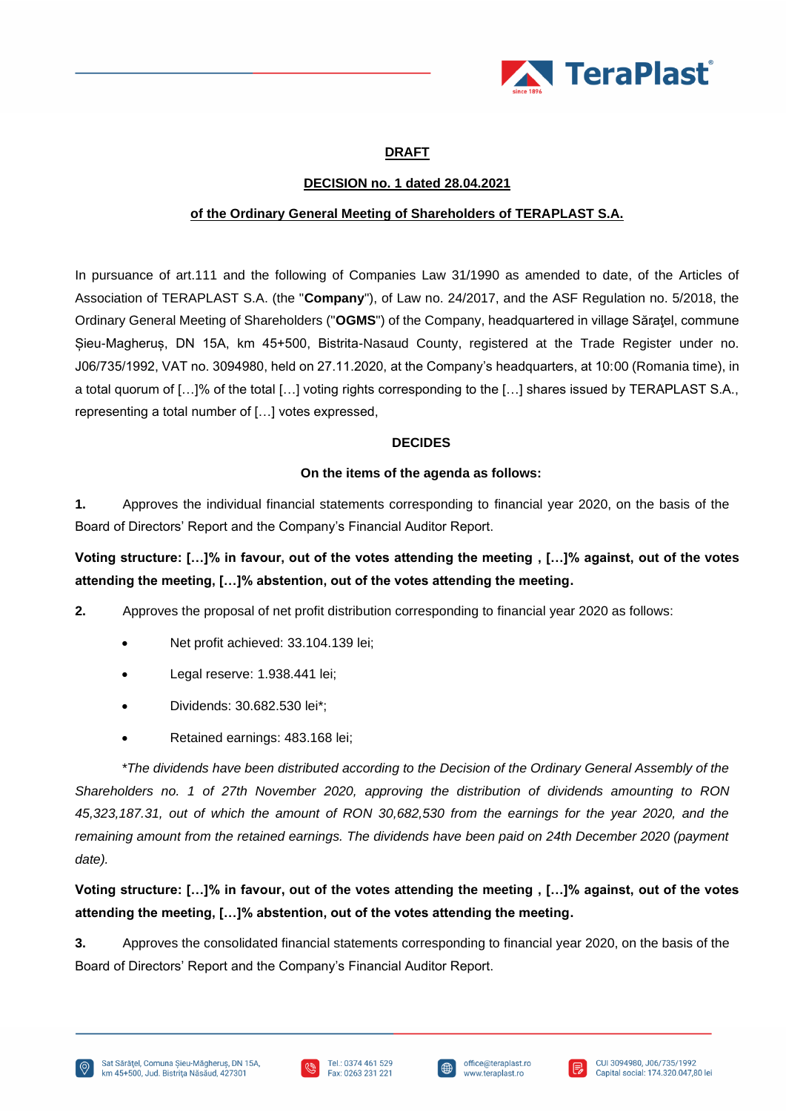

### **DRAFT**

### **DECISION no. 1 dated 28.04.2021**

### **of the Ordinary General Meeting of Shareholders of TERAPLAST S.A.**

In pursuance of art.111 and the following of Companies Law 31/1990 as amended to date, of the Articles of Association of TERAPLAST S.A. (the "**Company**"), of Law no. 24/2017, and the ASF Regulation no. 5/2018, the Ordinary General Meeting of Shareholders ("**OGMS**") of the Company, headquartered in village Săraţel, commune Șieu-Magheruș, DN 15A, km 45+500, Bistrita-Nasaud County, registered at the Trade Register under no. J06/735/1992, VAT no. 3094980, held on 27.11.2020, at the Company's headquarters, at 10:00 (Romania time), in a total quorum of […]% of the total […] voting rights corresponding to the […] shares issued by TERAPLAST S.A., representing a total number of […] votes expressed,

#### **DECIDES**

#### **On the items of the agenda as follows:**

**1.** Approves the individual financial statements corresponding to financial year 2020, on the basis of the Board of Directors' Report and the Company's Financial Auditor Report.

**Voting structure: […]% in favour, out of the votes attending the meeting , […]% against, out of the votes attending the meeting, […]% abstention, out of the votes attending the meeting.**

- **2.** Approves the proposal of net profit distribution corresponding to financial year 2020 as follows:
	- Net profit achieved: 33.104.139 lei;
	- Legal reserve: 1.938.441 lei;
	- Dividends: 30.682.530 lei\*;
	- Retained earnings: 483.168 lei;

*\*The dividends have been distributed according to the Decision of the Ordinary General Assembly of the Shareholders no. 1 of 27th November 2020, approving the distribution of dividends amounting to RON 45,323,187.31, out of which the amount of RON 30,682,530 from the earnings for the year 2020, and the remaining amount from the retained earnings. The dividends have been paid on 24th December 2020 (payment date).*

**Voting structure: […]% in favour, out of the votes attending the meeting , […]% against, out of the votes attending the meeting, […]% abstention, out of the votes attending the meeting.**

**3.** Approves the consolidated financial statements corresponding to financial year 2020, on the basis of the Board of Directors' Report and the Company's Financial Auditor Report.





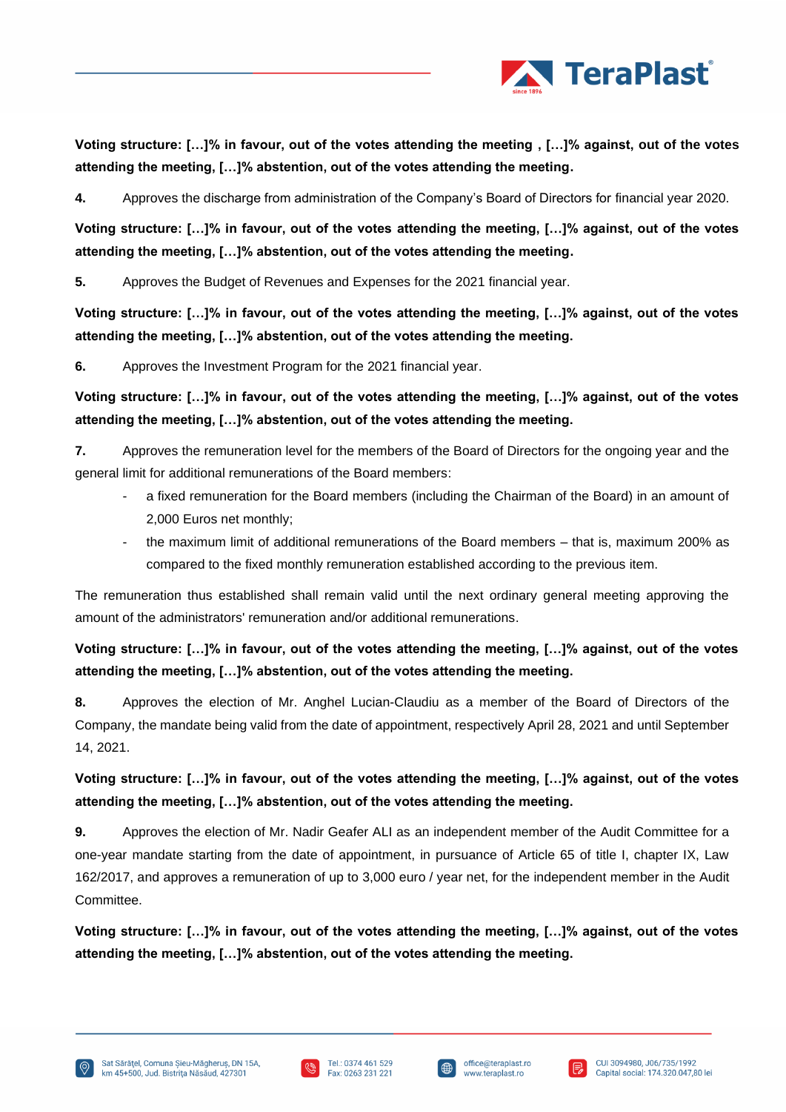

**Voting structure: […]% in favour, out of the votes attending the meeting , […]% against, out of the votes attending the meeting, […]% abstention, out of the votes attending the meeting.**

**4.** Approves the discharge from administration of the Company's Board of Directors for financial year 2020.

**Voting structure: […]% in favour, out of the votes attending the meeting, […]% against, out of the votes attending the meeting, […]% abstention, out of the votes attending the meeting.**

**5.** Approves the Budget of Revenues and Expenses for the 2021 financial year.

**Voting structure: […]% in favour, out of the votes attending the meeting, […]% against, out of the votes attending the meeting, […]% abstention, out of the votes attending the meeting.**

**6.** Approves the Investment Program for the 2021 financial year.

**Voting structure: […]% in favour, out of the votes attending the meeting, […]% against, out of the votes attending the meeting, […]% abstention, out of the votes attending the meeting.**

**7.** Approves the remuneration level for the members of the Board of Directors for the ongoing year and the general limit for additional remunerations of the Board members:

- a fixed remuneration for the Board members (including the Chairman of the Board) in an amount of 2,000 Euros net monthly;
- the maximum limit of additional remunerations of the Board members that is, maximum 200% as compared to the fixed monthly remuneration established according to the previous item.

The remuneration thus established shall remain valid until the next ordinary general meeting approving the amount of the administrators' remuneration and/or additional remunerations.

## **Voting structure: […]% in favour, out of the votes attending the meeting, […]% against, out of the votes attending the meeting, […]% abstention, out of the votes attending the meeting.**

**8.** Approves the election of Mr. Anghel Lucian-Claudiu as a member of the Board of Directors of the Company, the mandate being valid from the date of appointment, respectively April 28, 2021 and until September 14, 2021.

## **Voting structure: […]% in favour, out of the votes attending the meeting, […]% against, out of the votes attending the meeting, […]% abstention, out of the votes attending the meeting.**

**9.** Approves the election of Mr. Nadir Geafer ALI as an independent member of the Audit Committee for a one-year mandate starting from the date of appointment, in pursuance of Article 65 of title I, chapter IX, Law 162/2017, and approves a remuneration of up to 3,000 euro / year net, for the independent member in the Audit Committee.

**Voting structure: […]% in favour, out of the votes attending the meeting, […]% against, out of the votes attending the meeting, […]% abstention, out of the votes attending the meeting.**